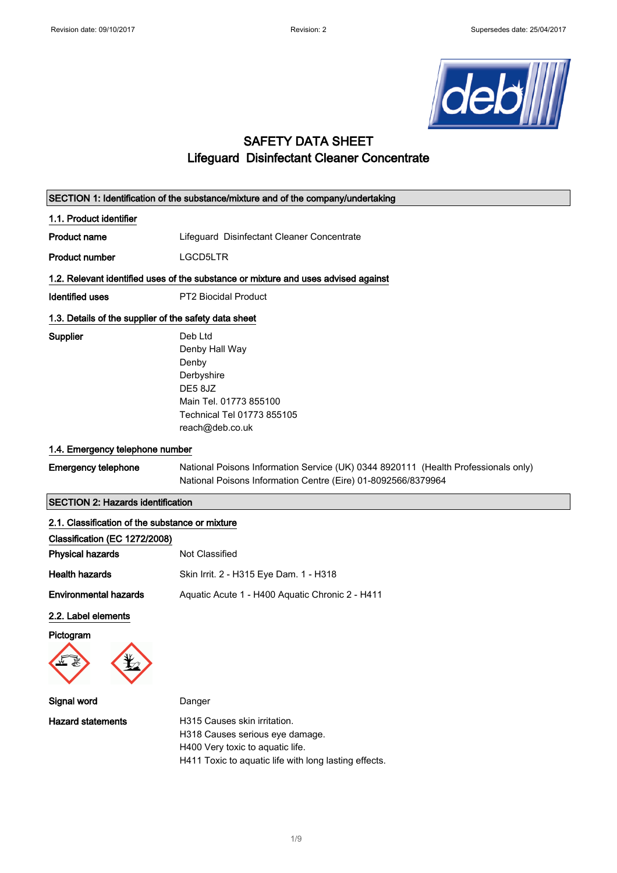

# SAFETY DATA SHEET Lifeguard Disinfectant Cleaner Concentrate

|                                                       | SECTION 1: Identification of the substance/mixture and of the company/undertaking                                                                   |
|-------------------------------------------------------|-----------------------------------------------------------------------------------------------------------------------------------------------------|
| 1.1. Product identifier                               |                                                                                                                                                     |
| <b>Product name</b>                                   | Lifeguard Disinfectant Cleaner Concentrate                                                                                                          |
| <b>Product number</b>                                 | LGCD5LTR                                                                                                                                            |
|                                                       | 1.2. Relevant identified uses of the substance or mixture and uses advised against                                                                  |
| <b>Identified uses</b>                                | <b>PT2 Biocidal Product</b>                                                                                                                         |
| 1.3. Details of the supplier of the safety data sheet |                                                                                                                                                     |
| Supplier                                              | Deb Ltd<br>Denby Hall Way<br>Denby<br>Derbyshire<br>DE58JZ<br>Main Tel. 01773 855100<br>Technical Tel 01773 855105<br>reach@deb.co.uk               |
| 1.4. Emergency telephone number                       |                                                                                                                                                     |
| <b>Emergency telephone</b>                            | National Poisons Information Service (UK) 0344 8920111 (Health Professionals only)<br>National Poisons Information Centre (Eire) 01-8092566/8379964 |
| <b>SECTION 2: Hazards identification</b>              |                                                                                                                                                     |
| 2.1. Classification of the substance or mixture       |                                                                                                                                                     |
| Classification (EC 1272/2008)                         |                                                                                                                                                     |
| <b>Physical hazards</b>                               | <b>Not Classified</b>                                                                                                                               |
| <b>Health hazards</b>                                 | Skin Irrit. 2 - H315 Eye Dam. 1 - H318                                                                                                              |
| <b>Environmental hazards</b>                          | Aquatic Acute 1 - H400 Aquatic Chronic 2 - H411                                                                                                     |
| 2.2. Label elements<br>Pictogram                      |                                                                                                                                                     |
| Signal word                                           | Danger                                                                                                                                              |

Hazard statements **H315** Causes skin irritation. H318 Causes serious eye damage. H400 Very toxic to aquatic life. H411 Toxic to aquatic life with long lasting effects.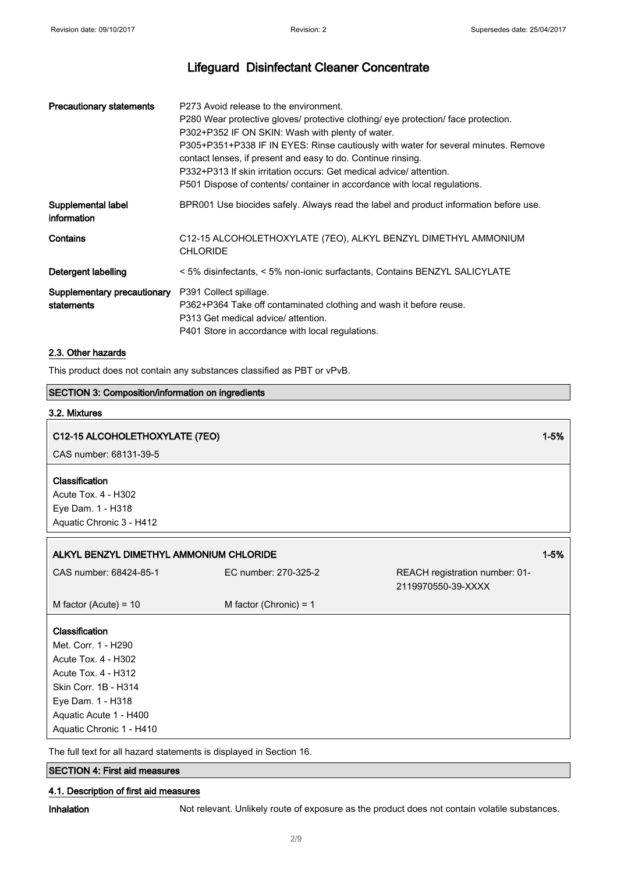| <b>Precautionary statements</b>           | P273 Avoid release to the environment.<br>P280 Wear protective gloves/ protective clothing/ eye protection/ face protection.<br>P302+P352 IF ON SKIN: Wash with plenty of water.<br>P305+P351+P338 IF IN EYES: Rinse cautiously with water for several minutes. Remove<br>contact lenses, if present and easy to do. Continue rinsing.<br>P332+P313 If skin irritation occurs: Get medical advice/ attention.<br>P501 Dispose of contents/ container in accordance with local regulations. |
|-------------------------------------------|--------------------------------------------------------------------------------------------------------------------------------------------------------------------------------------------------------------------------------------------------------------------------------------------------------------------------------------------------------------------------------------------------------------------------------------------------------------------------------------------|
| Supplemental label<br>information         | BPR001 Use biocides safely. Always read the label and product information before use.                                                                                                                                                                                                                                                                                                                                                                                                      |
| Contains                                  | C12-15 ALCOHOLETHOXYLATE (7EO), ALKYL BENZYL DIMETHYL AMMONIUM<br><b>CHLORIDE</b>                                                                                                                                                                                                                                                                                                                                                                                                          |
| Detergent labelling                       | < 5% disinfectants, < 5% non-ionic surfactants, Contains BENZYL SALICYLATE                                                                                                                                                                                                                                                                                                                                                                                                                 |
| Supplementary precautionary<br>statements | P391 Collect spillage.<br>P362+P364 Take off contaminated clothing and wash it before reuse.<br>P313 Get medical advice/ attention.<br>P401 Store in accordance with local regulations.                                                                                                                                                                                                                                                                                                    |

#### 2.3. Other hazards

This product does not contain any substances classified as PBT or vPvB.

## SECTION 3: Composition/information on ingredients

#### 3.2. Mixtures

## C12-15 ALCOHOLETHOXYLATE (7EO) 2008 12-5% 12-5% 12-5% 12-5% 12-5% 12-5% 12-5% 13-5% 13-5% 13-5% 13-5% 13-5% 13-

CAS number: 68131-39-5

#### **Classification**

Acute Tox. 4 - H302 Eye Dam. 1 - H318 Aquatic Chronic 3 - H412

| ALKYL BENZYL DIMETHYL AMMONIUM CHLORIDE<br>CAS number: 68424-85-1<br>EC number: 270-325-2<br>REACH registration number: 01-<br>2119970550-39-XXXX<br>M factor (Chronic) = $1$<br>M factor (Acute) = $10$<br><b>Classification</b><br>Met. Corr. 1 - H290<br>Acute Tox. 4 - H302<br><b>Acute Tox. 4 - H312</b><br>Skin Corr. 1B - H314<br>Eye Dam. 1 - H318<br>Aquatic Acute 1 - H400 |                          |  |          |
|--------------------------------------------------------------------------------------------------------------------------------------------------------------------------------------------------------------------------------------------------------------------------------------------------------------------------------------------------------------------------------------|--------------------------|--|----------|
|                                                                                                                                                                                                                                                                                                                                                                                      |                          |  | $1 - 5%$ |
|                                                                                                                                                                                                                                                                                                                                                                                      |                          |  |          |
|                                                                                                                                                                                                                                                                                                                                                                                      |                          |  |          |
|                                                                                                                                                                                                                                                                                                                                                                                      | Aquatic Chronic 1 - H410 |  |          |

The full text for all hazard statements is displayed in Section 16.

#### SECTION 4: First aid measures

#### 4.1. Description of first aid measures

Inhalation Not relevant. Unlikely route of exposure as the product does not contain volatile substances.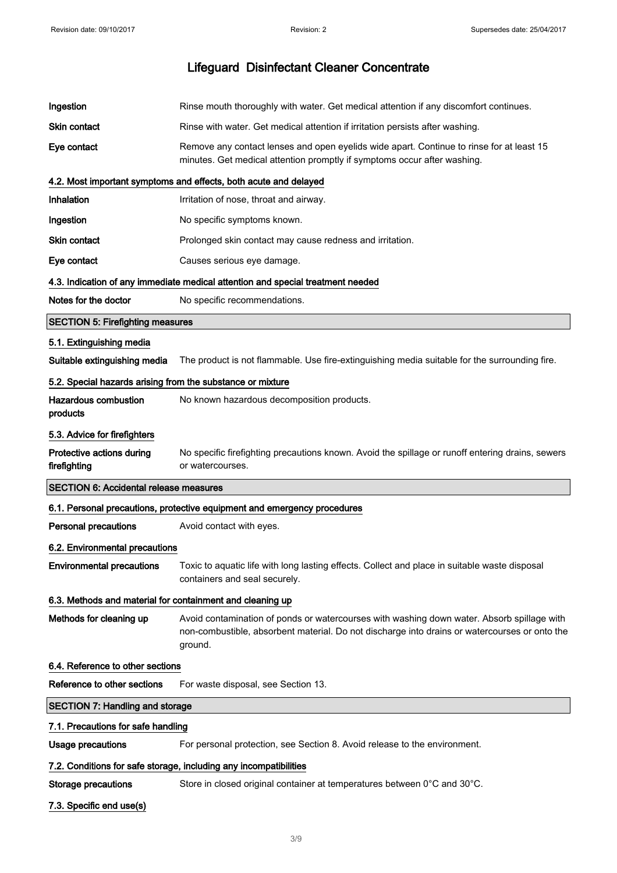| Ingestion                                                  | Rinse mouth thoroughly with water. Get medical attention if any discomfort continues.                                                                                                                  |
|------------------------------------------------------------|--------------------------------------------------------------------------------------------------------------------------------------------------------------------------------------------------------|
| Skin contact                                               | Rinse with water. Get medical attention if irritation persists after washing.                                                                                                                          |
| Eye contact                                                | Remove any contact lenses and open eyelids wide apart. Continue to rinse for at least 15<br>minutes. Get medical attention promptly if symptoms occur after washing.                                   |
|                                                            | 4.2. Most important symptoms and effects, both acute and delayed                                                                                                                                       |
| Inhalation                                                 | Irritation of nose, throat and airway.                                                                                                                                                                 |
| Ingestion                                                  | No specific symptoms known.                                                                                                                                                                            |
| <b>Skin contact</b>                                        | Prolonged skin contact may cause redness and irritation.                                                                                                                                               |
| Eye contact                                                | Causes serious eye damage.                                                                                                                                                                             |
|                                                            | 4.3. Indication of any immediate medical attention and special treatment needed                                                                                                                        |
| Notes for the doctor                                       | No specific recommendations.                                                                                                                                                                           |
| <b>SECTION 5: Firefighting measures</b>                    |                                                                                                                                                                                                        |
| 5.1. Extinguishing media                                   |                                                                                                                                                                                                        |
| Suitable extinguishing media                               | The product is not flammable. Use fire-extinguishing media suitable for the surrounding fire.                                                                                                          |
| 5.2. Special hazards arising from the substance or mixture |                                                                                                                                                                                                        |
| <b>Hazardous combustion</b><br>products                    | No known hazardous decomposition products.                                                                                                                                                             |
| 5.3. Advice for firefighters                               |                                                                                                                                                                                                        |
| Protective actions during<br>firefighting                  | No specific firefighting precautions known. Avoid the spillage or runoff entering drains, sewers<br>or watercourses.                                                                                   |
|                                                            |                                                                                                                                                                                                        |
| <b>SECTION 6: Accidental release measures</b>              |                                                                                                                                                                                                        |
|                                                            | 6.1. Personal precautions, protective equipment and emergency procedures                                                                                                                               |
| <b>Personal precautions</b>                                | Avoid contact with eyes.                                                                                                                                                                               |
| 6.2. Environmental precautions                             |                                                                                                                                                                                                        |
| <b>Environmental precautions</b>                           | Toxic to aquatic life with long lasting effects. Collect and place in suitable waste disposal<br>containers and seal securely.                                                                         |
| 6.3. Methods and material for containment and cleaning up  |                                                                                                                                                                                                        |
| Methods for cleaning up                                    | Avoid contamination of ponds or watercourses with washing down water. Absorb spillage with<br>non-combustible, absorbent material. Do not discharge into drains or watercourses or onto the<br>ground. |
| 6.4. Reference to other sections                           |                                                                                                                                                                                                        |
| Reference to other sections                                | For waste disposal, see Section 13.                                                                                                                                                                    |
| <b>SECTION 7: Handling and storage</b>                     |                                                                                                                                                                                                        |
| 7.1. Precautions for safe handling                         |                                                                                                                                                                                                        |
| <b>Usage precautions</b>                                   | For personal protection, see Section 8. Avoid release to the environment.                                                                                                                              |
|                                                            | 7.2. Conditions for safe storage, including any incompatibilities                                                                                                                                      |
| <b>Storage precautions</b>                                 | Store in closed original container at temperatures between 0°C and 30°C.                                                                                                                               |

3/ 9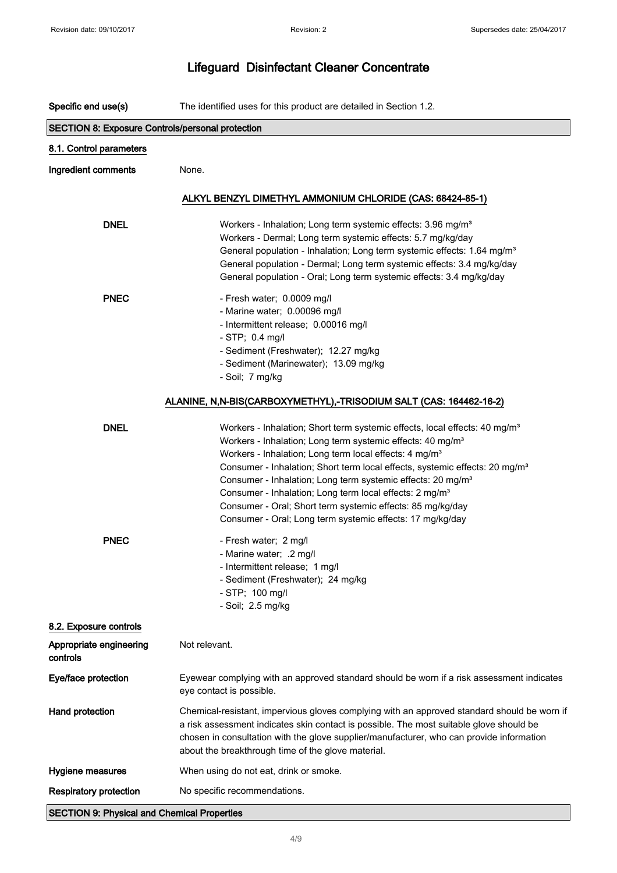| Specific end use(s)                                     | The identified uses for this product are detailed in Section 1.2.                                                                                                                                                                                                                                                                        |
|---------------------------------------------------------|------------------------------------------------------------------------------------------------------------------------------------------------------------------------------------------------------------------------------------------------------------------------------------------------------------------------------------------|
| <b>SECTION 8: Exposure Controls/personal protection</b> |                                                                                                                                                                                                                                                                                                                                          |
| 8.1. Control parameters                                 |                                                                                                                                                                                                                                                                                                                                          |
| Ingredient comments                                     | None.                                                                                                                                                                                                                                                                                                                                    |
|                                                         |                                                                                                                                                                                                                                                                                                                                          |
|                                                         | ALKYL BENZYL DIMETHYL AMMONIUM CHLORIDE (CAS: 68424-85-1)                                                                                                                                                                                                                                                                                |
| <b>DNEL</b>                                             | Workers - Inhalation; Long term systemic effects: 3.96 mg/m <sup>3</sup>                                                                                                                                                                                                                                                                 |
|                                                         | Workers - Dermal; Long term systemic effects: 5.7 mg/kg/day                                                                                                                                                                                                                                                                              |
|                                                         | General population - Inhalation; Long term systemic effects: 1.64 mg/m <sup>3</sup>                                                                                                                                                                                                                                                      |
|                                                         | General population - Dermal; Long term systemic effects: 3.4 mg/kg/day                                                                                                                                                                                                                                                                   |
|                                                         | General population - Oral; Long term systemic effects: 3.4 mg/kg/day                                                                                                                                                                                                                                                                     |
| <b>PNEC</b>                                             | - Fresh water; 0.0009 mg/l                                                                                                                                                                                                                                                                                                               |
|                                                         | - Marine water; 0.00096 mg/l                                                                                                                                                                                                                                                                                                             |
|                                                         | - Intermittent release; 0.00016 mg/l                                                                                                                                                                                                                                                                                                     |
|                                                         | $-$ STP; 0.4 mg/l                                                                                                                                                                                                                                                                                                                        |
|                                                         | - Sediment (Freshwater); 12.27 mg/kg                                                                                                                                                                                                                                                                                                     |
|                                                         | - Sediment (Marinewater); 13.09 mg/kg                                                                                                                                                                                                                                                                                                    |
|                                                         | - Soil; 7 mg/kg                                                                                                                                                                                                                                                                                                                          |
|                                                         | ALANINE, N,N-BIS(CARBOXYMETHYL),-TRISODIUM SALT (CAS: 164462-16-2)                                                                                                                                                                                                                                                                       |
| <b>DNEL</b>                                             | Workers - Inhalation; Short term systemic effects, local effects: 40 mg/m <sup>3</sup>                                                                                                                                                                                                                                                   |
|                                                         | Workers - Inhalation; Long term systemic effects: 40 mg/m <sup>3</sup>                                                                                                                                                                                                                                                                   |
|                                                         | Workers - Inhalation; Long term local effects: 4 mg/m <sup>3</sup>                                                                                                                                                                                                                                                                       |
|                                                         | Consumer - Inhalation; Short term local effects, systemic effects: 20 mg/m <sup>3</sup>                                                                                                                                                                                                                                                  |
|                                                         | Consumer - Inhalation; Long term systemic effects: 20 mg/m <sup>3</sup>                                                                                                                                                                                                                                                                  |
|                                                         | Consumer - Inhalation; Long term local effects: 2 mg/m <sup>3</sup>                                                                                                                                                                                                                                                                      |
|                                                         | Consumer - Oral; Short term systemic effects: 85 mg/kg/day                                                                                                                                                                                                                                                                               |
|                                                         | Consumer - Oral; Long term systemic effects: 17 mg/kg/day                                                                                                                                                                                                                                                                                |
| <b>PNEC</b>                                             | - Fresh water; 2 mg/l                                                                                                                                                                                                                                                                                                                    |
|                                                         | - Marine water; .2 mg/l                                                                                                                                                                                                                                                                                                                  |
|                                                         | - Intermittent release; 1 mg/l                                                                                                                                                                                                                                                                                                           |
|                                                         | - Sediment (Freshwater); 24 mg/kg                                                                                                                                                                                                                                                                                                        |
|                                                         | - STP; 100 mg/l                                                                                                                                                                                                                                                                                                                          |
|                                                         | - Soil; 2.5 mg/kg                                                                                                                                                                                                                                                                                                                        |
| 8.2. Exposure controls                                  |                                                                                                                                                                                                                                                                                                                                          |
| Appropriate engineering<br>controls                     | Not relevant.                                                                                                                                                                                                                                                                                                                            |
| Eye/face protection                                     | Eyewear complying with an approved standard should be worn if a risk assessment indicates<br>eye contact is possible.                                                                                                                                                                                                                    |
| Hand protection                                         | Chemical-resistant, impervious gloves complying with an approved standard should be worn if<br>a risk assessment indicates skin contact is possible. The most suitable glove should be<br>chosen in consultation with the glove supplier/manufacturer, who can provide information<br>about the breakthrough time of the glove material. |
| <b>Hygiene measures</b>                                 | When using do not eat, drink or smoke.                                                                                                                                                                                                                                                                                                   |
| <b>Respiratory protection</b>                           | No specific recommendations.                                                                                                                                                                                                                                                                                                             |
| <b>SECTION 9: Physical and Chemical Properties</b>      |                                                                                                                                                                                                                                                                                                                                          |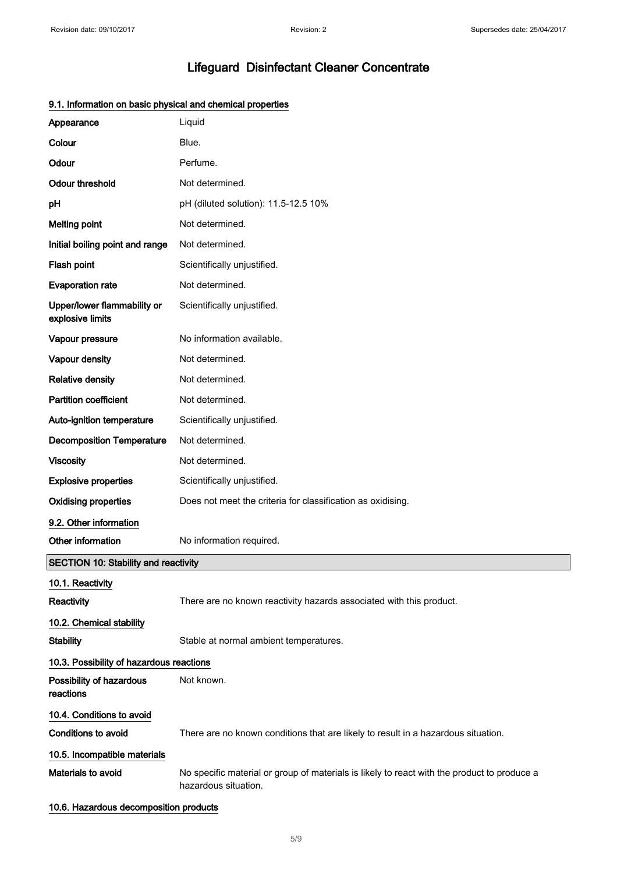| Appearance                                      | Liquid                                                                                                              |
|-------------------------------------------------|---------------------------------------------------------------------------------------------------------------------|
| Colour                                          | Blue.                                                                                                               |
| Odour                                           | Perfume.                                                                                                            |
| <b>Odour threshold</b>                          | Not determined.                                                                                                     |
| pH                                              | pH (diluted solution): 11.5-12.5 10%                                                                                |
| <b>Melting point</b>                            | Not determined.                                                                                                     |
| Initial boiling point and range                 | Not determined.                                                                                                     |
| Flash point                                     | Scientifically unjustified.                                                                                         |
| <b>Evaporation rate</b>                         | Not determined.                                                                                                     |
| Upper/lower flammability or<br>explosive limits | Scientifically unjustified.                                                                                         |
| Vapour pressure                                 | No information available.                                                                                           |
| Vapour density                                  | Not determined.                                                                                                     |
| <b>Relative density</b>                         | Not determined.                                                                                                     |
| <b>Partition coefficient</b>                    | Not determined.                                                                                                     |
| Auto-ignition temperature                       | Scientifically unjustified.                                                                                         |
| <b>Decomposition Temperature</b>                | Not determined.                                                                                                     |
| <b>Viscosity</b>                                | Not determined.                                                                                                     |
| <b>Explosive properties</b>                     | Scientifically unjustified.                                                                                         |
| <b>Oxidising properties</b>                     | Does not meet the criteria for classification as oxidising.                                                         |
| 9.2. Other information                          |                                                                                                                     |
| Other information                               | No information required.                                                                                            |
| <b>SECTION 10: Stability and reactivity</b>     |                                                                                                                     |
| 10.1. Reactivity<br>Reactivity                  | There are no known reactivity hazards associated with this product.                                                 |
| 10.2. Chemical stability                        |                                                                                                                     |
| <b>Stability</b>                                | Stable at normal ambient temperatures.                                                                              |
| 10.3. Possibility of hazardous reactions        |                                                                                                                     |
| Possibility of hazardous<br>reactions           | Not known.                                                                                                          |
| 10.4. Conditions to avoid                       |                                                                                                                     |
| <b>Conditions to avoid</b>                      | There are no known conditions that are likely to result in a hazardous situation.                                   |
| 10.5. Incompatible materials                    |                                                                                                                     |
| <b>Materials to avoid</b>                       | No specific material or group of materials is likely to react with the product to produce a<br>hazardous situation. |
|                                                 |                                                                                                                     |

## 9.1. Information on basic physical and chemical properties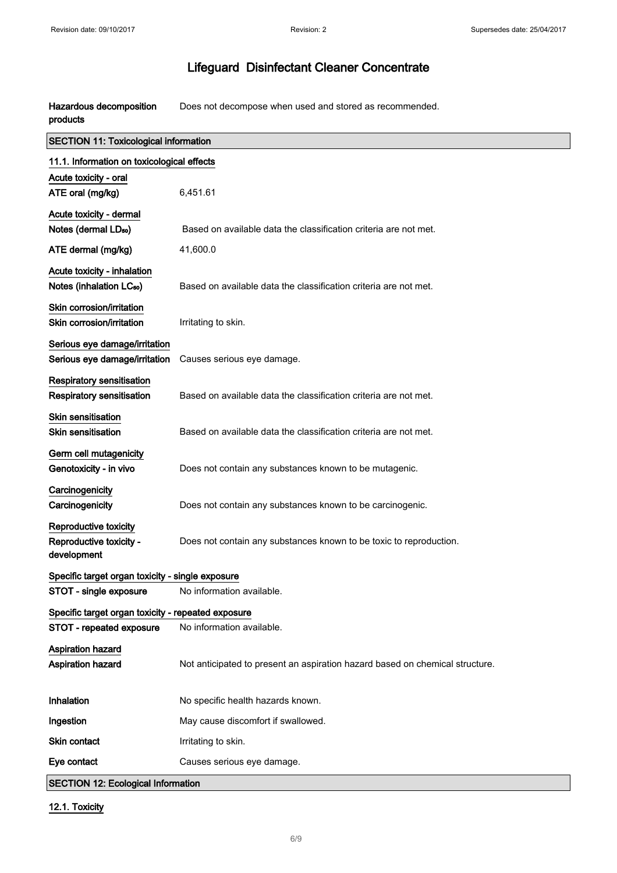Hazardous decomposition products Does not decompose when used and stored as recommended.

| <b>SECTION 11: Toxicological information</b>       |                                                                              |  |
|----------------------------------------------------|------------------------------------------------------------------------------|--|
| 11.1. Information on toxicological effects         |                                                                              |  |
| Acute toxicity - oral                              |                                                                              |  |
| ATE oral (mg/kg)                                   | 6,451.61                                                                     |  |
| Acute toxicity - dermal                            |                                                                              |  |
| Notes (dermal LDso)                                | Based on available data the classification criteria are not met.             |  |
| ATE dermal (mg/kg)                                 | 41,600.0                                                                     |  |
| Acute toxicity - inhalation                        |                                                                              |  |
| Notes (inhalation LC <sub>50</sub> )               | Based on available data the classification criteria are not met.             |  |
| Skin corrosion/irritation                          |                                                                              |  |
| Skin corrosion/irritation                          | Irritating to skin.                                                          |  |
| Serious eye damage/irritation                      |                                                                              |  |
| Serious eye damage/irritation                      | Causes serious eye damage.                                                   |  |
| Respiratory sensitisation                          |                                                                              |  |
| <b>Respiratory sensitisation</b>                   | Based on available data the classification criteria are not met.             |  |
| <b>Skin sensitisation</b>                          |                                                                              |  |
| <b>Skin sensitisation</b>                          | Based on available data the classification criteria are not met.             |  |
| Germ cell mutagenicity                             |                                                                              |  |
| Genotoxicity - in vivo                             | Does not contain any substances known to be mutagenic.                       |  |
| Carcinogenicity                                    |                                                                              |  |
| Carcinogenicity                                    | Does not contain any substances known to be carcinogenic.                    |  |
| Reproductive toxicity                              |                                                                              |  |
| Reproductive toxicity -                            | Does not contain any substances known to be toxic to reproduction.           |  |
| development                                        |                                                                              |  |
| Specific target organ toxicity - single exposure   |                                                                              |  |
| STOT - single exposure                             | No information available.                                                    |  |
| Specific target organ toxicity - repeated exposure |                                                                              |  |
| STOT - repeated exposure                           | No information available.                                                    |  |
| <b>Aspiration hazard</b>                           |                                                                              |  |
| <b>Aspiration hazard</b>                           | Not anticipated to present an aspiration hazard based on chemical structure. |  |
|                                                    |                                                                              |  |
| Inhalation                                         | No specific health hazards known.                                            |  |
| Ingestion                                          | May cause discomfort if swallowed.                                           |  |
| Skin contact                                       | Irritating to skin.                                                          |  |
| Eye contact                                        | Causes serious eye damage.                                                   |  |
| <b>SECTION 12: Ecological Information</b>          |                                                                              |  |

12.1. Toxicity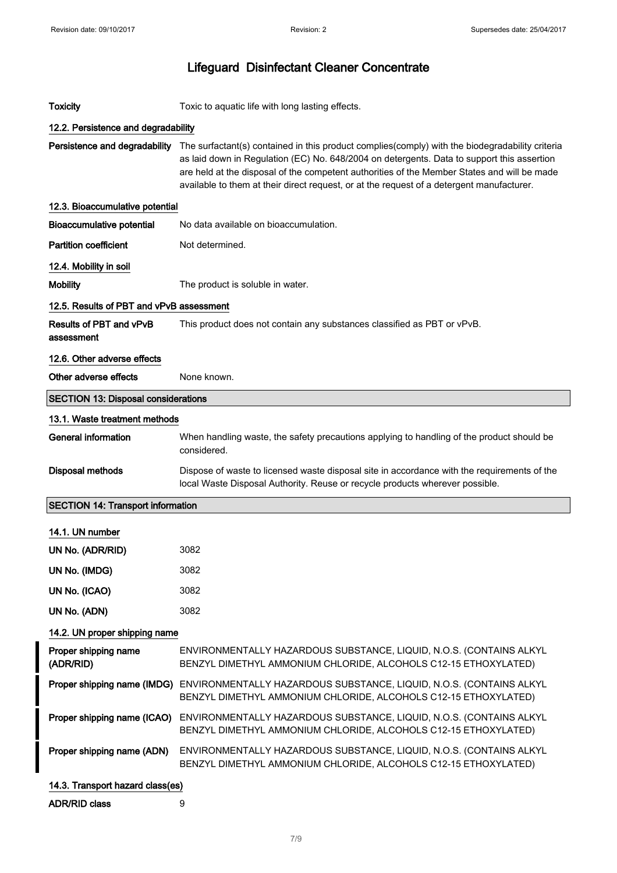| <b>Toxicity</b>                            | Toxic to aquatic life with long lasting effects.                                                                                                                                                                                                                                                                                                                                          |
|--------------------------------------------|-------------------------------------------------------------------------------------------------------------------------------------------------------------------------------------------------------------------------------------------------------------------------------------------------------------------------------------------------------------------------------------------|
| 12.2. Persistence and degradability        |                                                                                                                                                                                                                                                                                                                                                                                           |
| Persistence and degradability              | The surfactant(s) contained in this product complies(comply) with the biodegradability criteria<br>as laid down in Regulation (EC) No. 648/2004 on detergents. Data to support this assertion<br>are held at the disposal of the competent authorities of the Member States and will be made<br>available to them at their direct request, or at the request of a detergent manufacturer. |
| 12.3. Bioaccumulative potential            |                                                                                                                                                                                                                                                                                                                                                                                           |
| <b>Bioaccumulative potential</b>           | No data available on bioaccumulation.                                                                                                                                                                                                                                                                                                                                                     |
| <b>Partition coefficient</b>               | Not determined.                                                                                                                                                                                                                                                                                                                                                                           |
| 12.4. Mobility in soil                     |                                                                                                                                                                                                                                                                                                                                                                                           |
| <b>Mobility</b>                            | The product is soluble in water.                                                                                                                                                                                                                                                                                                                                                          |
| 12.5. Results of PBT and vPvB assessment   |                                                                                                                                                                                                                                                                                                                                                                                           |
| Results of PBT and vPvB<br>assessment      | This product does not contain any substances classified as PBT or vPvB.                                                                                                                                                                                                                                                                                                                   |
| 12.6. Other adverse effects                |                                                                                                                                                                                                                                                                                                                                                                                           |
| Other adverse effects                      | None known.                                                                                                                                                                                                                                                                                                                                                                               |
| <b>SECTION 13: Disposal considerations</b> |                                                                                                                                                                                                                                                                                                                                                                                           |
| 13.1. Waste treatment methods              |                                                                                                                                                                                                                                                                                                                                                                                           |
| <b>General information</b>                 | When handling waste, the safety precautions applying to handling of the product should be<br>considered.                                                                                                                                                                                                                                                                                  |
| <b>Disposal methods</b>                    | Dispose of waste to licensed waste disposal site in accordance with the requirements of the<br>local Waste Disposal Authority. Reuse or recycle products wherever possible.                                                                                                                                                                                                               |
| <b>SECTION 14: Transport information</b>   |                                                                                                                                                                                                                                                                                                                                                                                           |
| 14.1. UN number                            |                                                                                                                                                                                                                                                                                                                                                                                           |
| UN No. (ADR/RID)                           | 3082                                                                                                                                                                                                                                                                                                                                                                                      |
| UN No. (IMDG)                              | 3082                                                                                                                                                                                                                                                                                                                                                                                      |
| UN No. (ICAO)                              | 3082                                                                                                                                                                                                                                                                                                                                                                                      |
| UN No. (ADN)                               | 3082                                                                                                                                                                                                                                                                                                                                                                                      |
| 14.2. UN proper shipping name              |                                                                                                                                                                                                                                                                                                                                                                                           |
| Proper shipping name<br>(ADR/RID)          | ENVIRONMENTALLY HAZARDOUS SUBSTANCE, LIQUID, N.O.S. (CONTAINS ALKYL<br>BENZYL DIMETHYL AMMONIUM CHLORIDE, ALCOHOLS C12-15 ETHOXYLATED)                                                                                                                                                                                                                                                    |
|                                            | Proper shipping name (IMDG) ENVIRONMENTALLY HAZARDOUS SUBSTANCE, LIQUID, N.O.S. (CONTAINS ALKYL<br>BENZYL DIMETHYL AMMONIUM CHLORIDE, ALCOHOLS C12-15 ETHOXYLATED)                                                                                                                                                                                                                        |
| Proper shipping name (ICAO)                | ENVIRONMENTALLY HAZARDOUS SUBSTANCE, LIQUID, N.O.S. (CONTAINS ALKYL<br>BENZYL DIMETHYL AMMONIUM CHLORIDE, ALCOHOLS C12-15 ETHOXYLATED)                                                                                                                                                                                                                                                    |
| Proper shipping name (ADN)                 | ENVIRONMENTALLY HAZARDOUS SUBSTANCE, LIQUID, N.O.S. (CONTAINS ALKYL<br>BENZYL DIMETHYL AMMONIUM CHLORIDE, ALCOHOLS C12-15 ETHOXYLATED)                                                                                                                                                                                                                                                    |
| 14.3. Transport hazard class(es)           |                                                                                                                                                                                                                                                                                                                                                                                           |
| <b>ADR/RID class</b>                       | 9                                                                                                                                                                                                                                                                                                                                                                                         |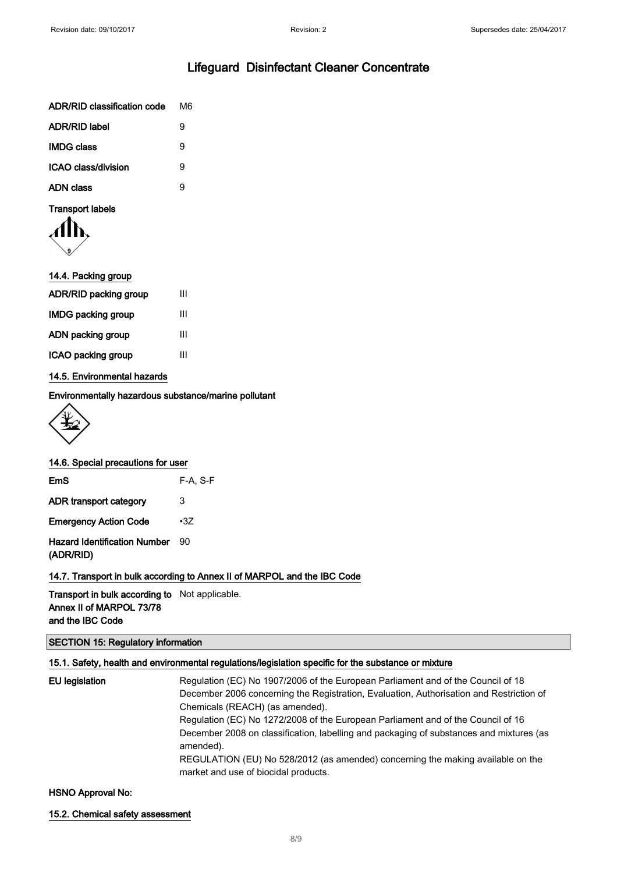| ADR/RID classification code | M6 |
|-----------------------------|----|
| <b>ADR/RID label</b>        | 9  |
| <b>IMDG class</b>           | я  |
| ICAO class/division         | g  |
| ADN class                   | g  |
|                             |    |

# Transport labels

| 14.4. Packing group          |   |
|------------------------------|---|
| <b>ADR/RID packing group</b> | Ш |
| <b>IMDG packing group</b>    | Ш |
| ADN packing group            | Ш |
| ICAO packing group           | Ш |
|                              |   |

#### 14.5. Environmental hazards

Environmentally hazardous substance/marine pollutant



#### 14.6. Special precautions for user

| EmS                                              | $F-A, S-F$ |
|--------------------------------------------------|------------|
| ADR transport category                           | 3          |
| <b>Emergency Action Code</b>                     | $\cdot 37$ |
| <b>Hazard Identification Number</b><br>(ADR/RID) | 90         |

14.7. Transport in bulk according to Annex II of MARPOL and the IBC Code

Transport in bulk according to Not applicable. Annex II of MARPOL 73/78 and the IBC Code

## SECTION 15: Regulatory information

## 15.1. Safety, health and environmental regulations/legislation specific for the substance or mixture

| Regulation (EC) No 1907/2006 of the European Parliament and of the Council of 18<br>December 2006 concerning the Registration, Evaluation, Authorisation and Restriction of |
|-----------------------------------------------------------------------------------------------------------------------------------------------------------------------------|
| Chemicals (REACH) (as amended).                                                                                                                                             |
| Regulation (EC) No 1272/2008 of the European Parliament and of the Council of 16                                                                                            |
| December 2008 on classification, labelling and packaging of substances and mixtures (as<br>amended).                                                                        |
| REGULATION (EU) No 528/2012 (as amended) concerning the making available on the<br>market and use of biocidal products.                                                     |
|                                                                                                                                                                             |

#### HSNO Approval No:

15.2. Chemical safety assessment